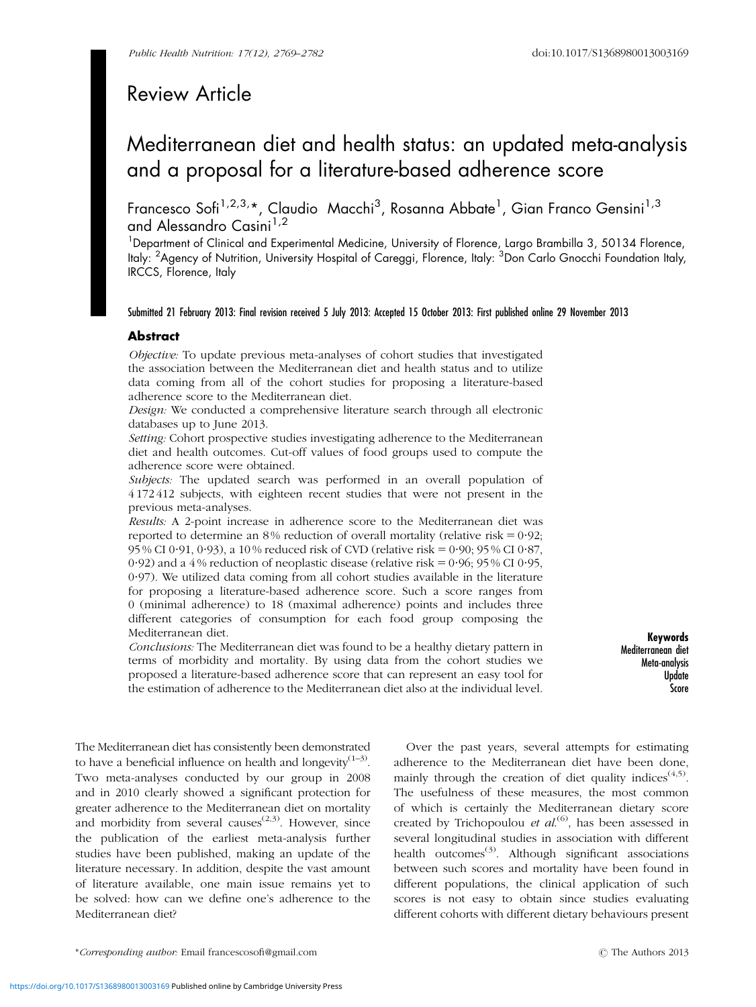# Review Article

# Mediterranean diet and health status: an updated meta-analysis and a proposal for a literature-based adherence score

Francesco Sofi<sup>1,2,3,</sup>\*, Claudio Macchi<sup>3</sup>, Rosanna Abbate<sup>1</sup>, Gian Franco Gensini<sup>1,3</sup> and Alessandro Casini $1,2$ 

<sup>1</sup>Department of Clinical and Experimental Medicine, University of Florence, Largo Brambilla 3, 50134 Florence, Italy: <sup>2</sup>Agency of Nutrition, University Hospital of Careggi, Florence, Italy: <sup>3</sup>Don Carlo Gnocchi Foundation Italy, IRCCS, Florence, Italy

# Submitted 21 February 2013: Final revision received 5 July 2013: Accepted 15 October 2013: First published online 29 November 2013

# **Abstract**

Objective: To update previous meta-analyses of cohort studies that investigated the association between the Mediterranean diet and health status and to utilize data coming from all of the cohort studies for proposing a literature-based adherence score to the Mediterranean diet.

Design: We conducted a comprehensive literature search through all electronic databases up to June 2013.

Setting: Cohort prospective studies investigating adherence to the Mediterranean diet and health outcomes. Cut-off values of food groups used to compute the adherence score were obtained.

Subjects: The updated search was performed in an overall population of 4 172 412 subjects, with eighteen recent studies that were not present in the previous meta-analyses.

Results: A 2-point increase in adherence score to the Mediterranean diet was reported to determine an 8% reduction of overall mortality (relative risk  $= 0.92$ ; 95 % CI 0.91, 0.93), a 10 % reduced risk of CVD (relative risk = 0.90; 95 % CI 0.87, 0.92) and a 4% reduction of neoplastic disease (relative risk =  $0.96$ ; 95 % CI 0.95, 0?97). We utilized data coming from all cohort studies available in the literature for proposing a literature-based adherence score. Such a score ranges from 0 (minimal adherence) to 18 (maximal adherence) points and includes three different categories of consumption for each food group composing the Mediterranean diet.

Conclusions: The Mediterranean diet was found to be a healthy dietary pattern in terms of morbidity and mortality. By using data from the cohort studies we proposed a literature-based adherence score that can represent an easy tool for the estimation of adherence to the Mediterranean diet also at the individual level.

Keywords Mediterranean diet Meta-analysis **Update** Score

The Mediterranean diet has consistently been demonstrated to have a beneficial influence on health and longevity $(1-3)$  $(1-3)$  $(1-3)$  $(1-3)$  $(1-3)$ . Two meta-analyses conducted by our group in 2008 and in 2010 clearly showed a significant protection for greater adherence to the Mediterranean diet on mortality and morbidity from several causes $(2,3)$  $(2,3)$ . However, since the publication of the earliest meta-analysis further studies have been published, making an update of the literature necessary. In addition, despite the vast amount of literature available, one main issue remains yet to be solved: how can we define one's adherence to the Mediterranean diet?

Over the past years, several attempts for estimating adherence to the Mediterranean diet have been done, mainly through the creation of diet quality indices<sup> $(4,5)$  $(4,5)$ </sup>. The usefulness of these measures, the most common of which is certainly the Mediterranean dietary score created by Trichopoulou et  $al^{(6)}$  $al^{(6)}$  $al^{(6)}$ , has been assessed in several longitudinal studies in association with different health outcomes<sup>([3](#page-12-0))</sup>. Although significant associations between such scores and mortality have been found in different populations, the clinical application of such scores is not easy to obtain since studies evaluating different cohorts with different dietary behaviours present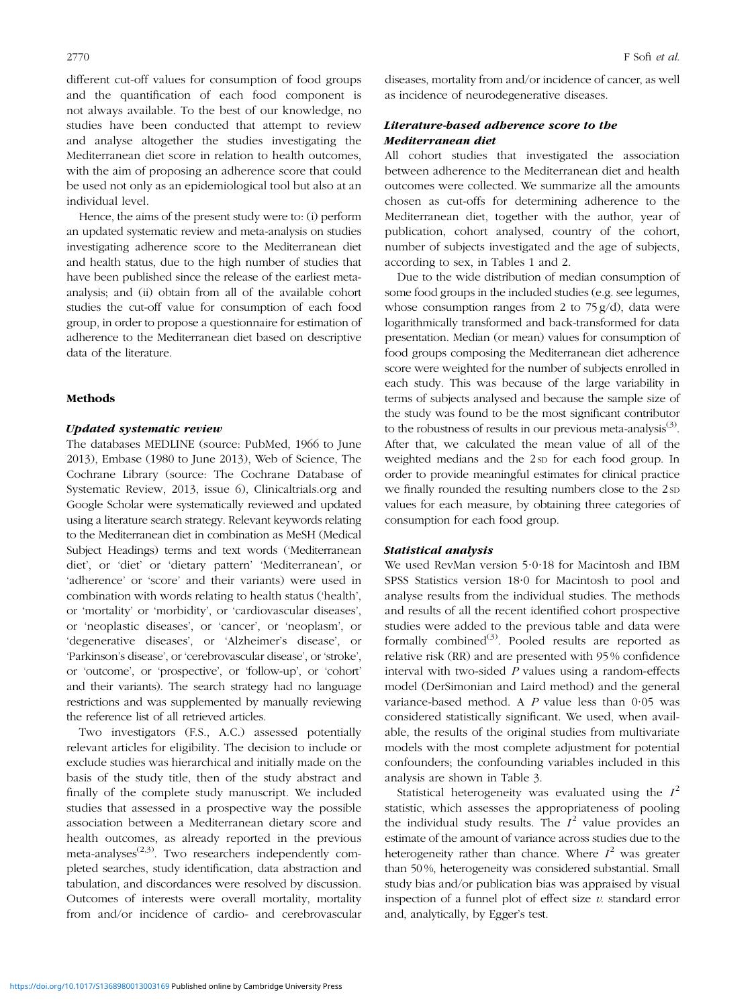different cut-off values for consumption of food groups and the quantification of each food component is not always available. To the best of our knowledge, no studies have been conducted that attempt to review and analyse altogether the studies investigating the Mediterranean diet score in relation to health outcomes, with the aim of proposing an adherence score that could be used not only as an epidemiological tool but also at an individual level.

Hence, the aims of the present study were to: (i) perform an updated systematic review and meta-analysis on studies investigating adherence score to the Mediterranean diet and health status, due to the high number of studies that have been published since the release of the earliest metaanalysis; and (ii) obtain from all of the available cohort studies the cut-off value for consumption of each food group, in order to propose a questionnaire for estimation of adherence to the Mediterranean diet based on descriptive data of the literature.

# Methods

## Updated systematic review

The databases MEDLINE (source: PubMed, 1966 to June 2013), Embase (1980 to June 2013), Web of Science, The Cochrane Library (source: The Cochrane Database of Systematic Review, 2013, issue 6), Clinicaltrials.org and Google Scholar were systematically reviewed and updated using a literature search strategy. Relevant keywords relating to the Mediterranean diet in combination as MeSH (Medical Subject Headings) terms and text words ('Mediterranean diet', or 'diet' or 'dietary pattern' 'Mediterranean', or 'adherence' or 'score' and their variants) were used in combination with words relating to health status ('health', or 'mortality' or 'morbidity', or 'cardiovascular diseases', or 'neoplastic diseases', or 'cancer', or 'neoplasm', or 'degenerative diseases', or 'Alzheimer's disease', or 'Parkinson's disease', or 'cerebrovascular disease', or 'stroke', or 'outcome', or 'prospective', or 'follow-up', or 'cohort' and their variants). The search strategy had no language restrictions and was supplemented by manually reviewing the reference list of all retrieved articles.

Two investigators (F.S., A.C.) assessed potentially relevant articles for eligibility. The decision to include or exclude studies was hierarchical and initially made on the basis of the study title, then of the study abstract and finally of the complete study manuscript. We included studies that assessed in a prospective way the possible association between a Mediterranean dietary score and health outcomes, as already reported in the previous meta-analyses $^{(2,3)}$  $^{(2,3)}$  $^{(2,3)}$ . Two researchers independently completed searches, study identification, data abstraction and tabulation, and discordances were resolved by discussion. Outcomes of interests were overall mortality, mortality from and/or incidence of cardio- and cerebrovascular

diseases, mortality from and/or incidence of cancer, as well as incidence of neurodegenerative diseases.

# Literature-based adherence score to the Mediterranean diet

All cohort studies that investigated the association between adherence to the Mediterranean diet and health outcomes were collected. We summarize all the amounts chosen as cut-offs for determining adherence to the Mediterranean diet, together with the author, year of publication, cohort analysed, country of the cohort, number of subjects investigated and the age of subjects, according to sex, in [Tables 1](#page-2-0) and [2.](#page-3-0)

Due to the wide distribution of median consumption of some food groups in the included studies (e.g. see legumes, whose consumption ranges from 2 to  $75 g/d$ , data were logarithmically transformed and back-transformed for data presentation. Median (or mean) values for consumption of food groups composing the Mediterranean diet adherence score were weighted for the number of subjects enrolled in each study. This was because of the large variability in terms of subjects analysed and because the sample size of the study was found to be the most significant contributor to the robustness of results in our previous meta-analysis $(3)$ . After that, we calculated the mean value of all of the weighted medians and the 2sp for each food group. In order to provide meaningful estimates for clinical practice we finally rounded the resulting numbers close to the 2 sp values for each measure, by obtaining three categories of consumption for each food group.

# Statistical analysis

We used RevMan version 5.0.18 for Macintosh and IBM SPSS Statistics version 18?0 for Macintosh to pool and analyse results from the individual studies. The methods and results of all the recent identified cohort prospective studies were added to the previous table and data were formally combined<sup>[\(3\)](#page-12-0)</sup>. Pooled results are reported as relative risk (RR) and are presented with 95 % confidence interval with two-sided  $P$  values using a random-effects model (DerSimonian and Laird method) and the general variance-based method. A  $P$  value less than 0.05 was considered statistically significant. We used, when available, the results of the original studies from multivariate models with the most complete adjustment for potential confounders; the confounding variables included in this analysis are shown in [Table 3](#page-4-0).

Statistical heterogeneity was evaluated using the  $I^2$ statistic, which assesses the appropriateness of pooling the individual study results. The  $I^2$  value provides an estimate of the amount of variance across studies due to the heterogeneity rather than chance. Where  $I^2$  was greater than 50 %, heterogeneity was considered substantial. Small study bias and/or publication bias was appraised by visual inspection of a funnel plot of effect size  $v$ . standard error and, analytically, by Egger's test.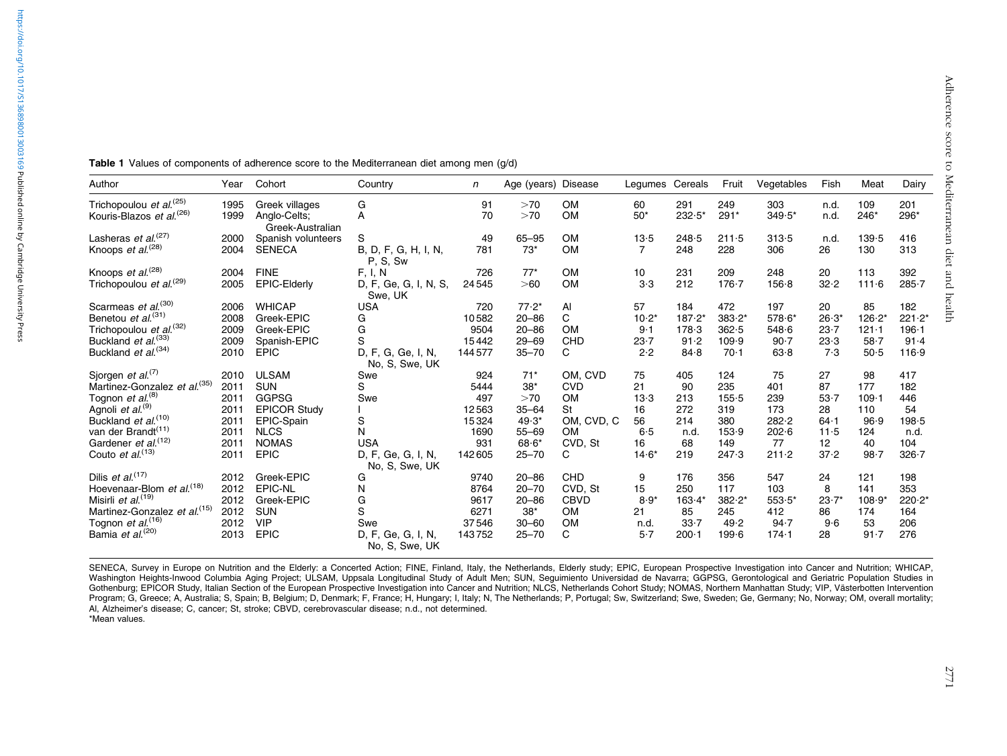| Author                                       | Year | Cohort                           | Country                              | n      | Age (years) Disease |             | Legumes Cereals |           | Fruit     | Vegetables | Fish     | Meat      | Dairy     |
|----------------------------------------------|------|----------------------------------|--------------------------------------|--------|---------------------|-------------|-----------------|-----------|-----------|------------|----------|-----------|-----------|
| Trichopoulou et al. <sup>(25)</sup>          | 1995 | Greek villages                   | G                                    | 91     | >70                 | <b>OM</b>   | 60              | 291       | 249       | 303        | n.d.     | 109       | 201       |
| Kouris-Blazos <i>et al</i> . <sup>(26)</sup> | 1999 | Anglo-Celts;<br>Greek-Australian | А                                    | 70     | $>70$               | <b>OM</b>   | $50*$           | $232.5*$  | $291*$    | $349.5*$   | n.d.     | 246*      | 296*      |
| Lasheras et al. <sup>(27)</sup>              | 2000 | Spanish volunteers               | S                                    | 49     | 65-95               | <b>OM</b>   | 13.5            | 248.5     | 211.5     | 313.5      | n.d.     | 139.5     | 416       |
| Knoops et al. <sup>(28)</sup>                | 2004 | <b>SENECA</b>                    | B, D, F, G, H, I, N,<br>P, S, Sw     | 781    | $73*$               | <b>OM</b>   | 7               | 248       | 228       | 306        | 26       | 130       | 313       |
| Knoops et al. <sup>(28)</sup>                | 2004 | <b>FINE</b>                      | F, I, N                              | 726    | $77*$               | <b>OM</b>   | 10              | 231       | 209       | 248        | 20       | 113       | 392       |
| Trichopoulou et al. <sup>(29)</sup>          | 2005 | EPIC-Elderly                     | D, F, Ge, G, I, N, S,<br>Swe. UK     | 24545  | >60                 | <b>OM</b>   | 3.3             | 212       | $176 - 7$ | 156.8      | 32.2     | 111.6     | $285 - 7$ |
| Scarmeas et al. <sup>(30)</sup>              | 2006 | <b>WHICAP</b>                    | <b>USA</b>                           | 720    | $77.2*$             | Al          | 57              | 184       | 472       | 197        | 20       | 85        | 182       |
| Benetou <i>et al</i> . <sup>(31)</sup>       | 2008 | Greek-EPIC                       | G                                    | 10582  | $20 - 86$           | C           | $10.2*$         | $187.2*$  | $383.2*$  | $578.6*$   | 26.3'    | $126.2*$  | 221.2'    |
| Trichopoulou et al. <sup>(32)</sup>          | 2009 | Greek-EPIC                       | G                                    | 9504   | $20 - 86$           | <b>OM</b>   | 9.1             | 178.3     | 362.5     | 548.6      | $23 - 7$ | $121 - 1$ | $196 - 1$ |
| Buckland et al. <sup>(33)</sup>              | 2009 | Spanish-EPIC                     | S                                    | 15442  | $29 - 69$           | <b>CHD</b>  | 23.7            | 91.2      | 109.9     | 90.7       | 23.3     | $58 - 7$  | 91.4      |
| Buckland et al. <sup>(34)</sup>              | 2010 | <b>EPIC</b>                      | D, F, G, Ge, I, N,<br>No. S. Swe. UK | 144577 | $35 - 70$           | C           | 2.2             | 84.8      | 70.1      | 63.8       | 7.3      | 50.5      | 116.9     |
| Sjorgen et al. <sup>(7)</sup>                | 2010 | <b>ULSAM</b>                     | Swe                                  | 924    | $71*$               | OM. CVD     | 75              | 405       | 124       | 75         | 27       | 98        | 417       |
| Martinez-Gonzalez et al. <sup>(35)</sup>     | 2011 | <b>SUN</b>                       | S                                    | 5444   | $38*$               | <b>CVD</b>  | 21              | 90        | 235       | 401        | 87       | 177       | 182       |
| Tognon <i>et al</i> . <sup>(8)</sup>         | 2011 | <b>GGPSG</b>                     | Swe                                  | 497    | >70                 | <b>OM</b>   | 13.3            | 213       | 155.5     | 239        | 53.7     | 109.1     | 446       |
| Agnoli <i>et al</i> . <sup>(9)</sup>         | 2011 | <b>EPICOR Study</b>              |                                      | 12563  | $35 - 64$           | St          | 16              | 272       | 319       | 173        | 28       | 110       | 54        |
| Buckland et al. <sup>(10)</sup>              | 2011 | EPIC-Spain                       | S                                    | 15324  | $49.3*$             | OM, CVD, C  | 56              | 214       | 380       | 282.2      | $64 - 1$ | 96.9      | 198.5     |
| van der Brandt <sup>(11)</sup>               | 2011 | <b>NLCS</b>                      | N                                    | 1690   | $55 - 69$           | <b>OM</b>   | 6.5             | n.d       | 153.9     | 202.6      | 11.5     | 124       | n.d.      |
| Gardener et al. <sup>(12)</sup>              | 2011 | <b>NOMAS</b>                     | <b>USA</b>                           | 931    | $68.6*$             | CVD, St     | 16              | 68        | 149       | 77         | 12       | 40        | 104       |
| Couto <i>et al</i> . <sup>(13)</sup>         | 2011 | EPIC                             | D, F, Ge, G, I, N,<br>No, S, Swe, UK | 142605 | $25 - 70$           | C           | $14.6*$         | 219       | 247.3     | 211.2      | 37.2     | 98.7      | $326 - 7$ |
| Dilis et al. $(17)$                          | 2012 | Greek-EPIC                       | G                                    | 9740   | $20 - 86$           | <b>CHD</b>  | 9               | 176       | 356       | 547        | 24       | 121       | 198       |
| Hoevenaar-Blom et al. <sup>(18)</sup>        | 2012 | EPIC-NL                          | N                                    | 8764   | $20 - 70$           | CVD. St     | 15              | 250       | 117       | 103        | 8        | 141       | 353       |
| Misirli <i>et al</i> . <sup>(19)</sup>       | 2012 | Greek-EPIC                       | G                                    | 9617   | $20 - 86$           | <b>CBVD</b> | $8.9*$          | $163.4*$  | $382.2*$  | $553.5*$   | $23.7*$  | $108.9*$  | $220.2*$  |
| Martinez-Gonzalez et al. <sup>(15)</sup>     | 2012 | <b>SUN</b>                       | S                                    | 6271   | $38*$               | <b>OM</b>   | 21              | 85        | 245       | 412        | 86       | 174       | 164       |
| Tognon <i>et al</i> . <sup>(16)</sup>        | 2012 | <b>VIP</b>                       | Swe                                  | 37546  | $30 - 60$           | <b>OM</b>   | n.d.            | 33.7      | 49.2      | 94.7       | 9.6      | 53        | 206       |
| Bamia et al. <sup>(20)</sup>                 | 2013 | <b>EPIC</b>                      | D, F, Ge, G, I, N,<br>No, S, Swe, UK | 143752 | $25 - 70$           | C           | 5.7             | $200 - 1$ | 199.6     | 174.1      | 28       | 91.7      | 276       |

<span id="page-2-0"></span>Table 1 Values of components of adherence score to the Mediterranean diet among men (g/d)

SENECA, Survey in Europe on Nutrition and the Elderly: a Concerted Action; FINE, Finland, Italy, the Netherlands, Elderly study; EPIC, European Prospective Investigation into Cancer and Nutrition; WHICAP, Washington Heights-Inwood Columbia Aging Project; ULSAM, Uppsala Longitudinal Study of Adult Men; SUN, Seguimiento Universidad de Navarra; GGPSG, Gerontological and Geriatric Population Studies in Gothenburg; EPICOR Study, Italian Section of the European Prospective Investigation into Cancer and Nutrition; NLCS, Netherlands Cohort Study; NOMAS, Northern Manhattan Study; VIP, Västerbotten Intervention Program; G, Greece; A, Australia; S, Spain; B, Belgium; D, Denmark; F, France; H, Hungary; I, Italy; N, The Netherlands; P, Portugal; Sw, Switzerland; Swe, Sweden; Ge, Germany; No, Norway; OM, overall mortality; Al, Alzheimer's disease; C, cancer; St, stroke; CBVD, cerebrovascular disease; n.d., not determined. \*Mean values.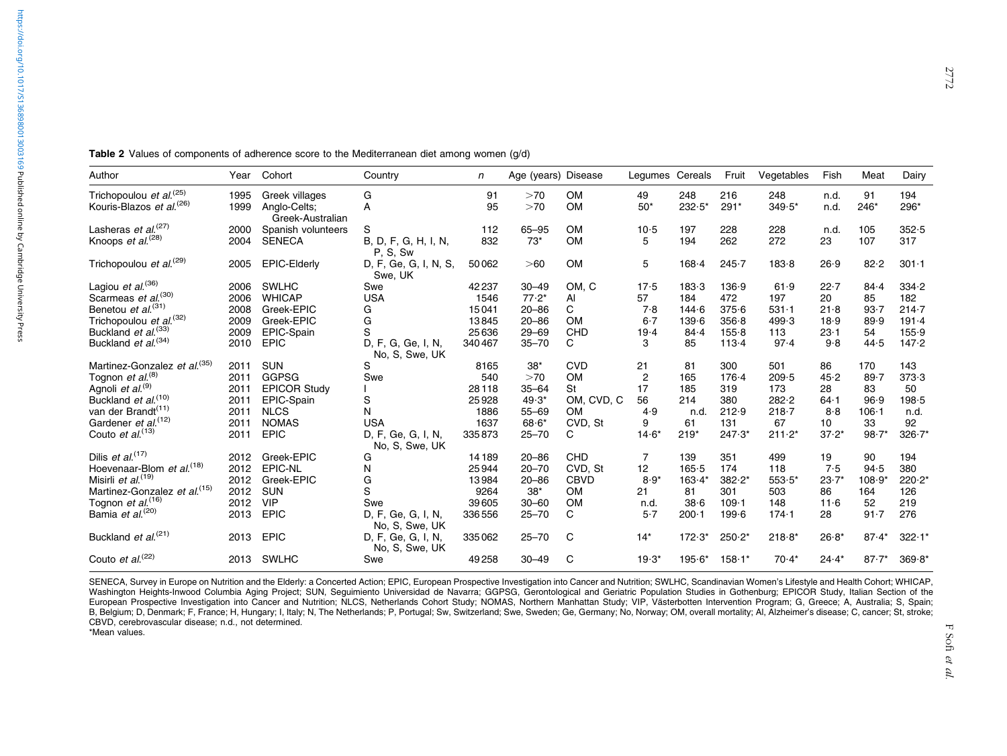<span id="page-3-0"></span>https://doi.org/10.1017/S1368980013003169 Published online by Cambridge University Press <https://doi.org/10.1017/S1368980013003169>Published online by Cambridge University Press

| Author                                           | Year | Cohort                           | Country                              | n      | Age (years) Disease |             | Legumes Cereals |           | Fruit     | Vegetables | Fish     | Meat      | Dairy          |
|--------------------------------------------------|------|----------------------------------|--------------------------------------|--------|---------------------|-------------|-----------------|-----------|-----------|------------|----------|-----------|----------------|
| Trichopoulou et al. <sup>(25)</sup>              | 1995 | Greek villages                   | G                                    | 91     | >70                 | <b>OM</b>   | 49              | 248       | 216       | 248        | n.d.     | 91        | 194            |
| Kouris-Blazos <i>et al.</i> <sup>(26)</sup>      | 1999 | Anglo-Celts;<br>Greek-Australian | A                                    | 95     | >70                 | <b>OM</b>   | $50*$           | $232.5*$  | $291*$    | $349.5*$   | n.d.     | 246*      | 296*           |
| Lasheras et al. <sup>(27)</sup>                  | 2000 | Spanish volunteers               | S                                    | 112    | $65 - 95$           | <b>OM</b>   | $10-5$          | 197       | 228       | 228        | n.d.     | 105       | 352.5          |
| Knoops <i>et al</i> . <sup>(28)</sup>            | 2004 | <b>SENECA</b>                    | B, D, F, G, H, I, N,<br>P. S. Sw     | 832    | $73*$               | <b>OM</b>   | 5               | 194       | 262       | 272        | 23       | 107       | 317            |
| Trichopoulou <i>et al</i> . <sup>(29)</sup>      | 2005 | EPIC-Elderly                     | D, F, Ge, G, I, N, S,<br>Swe, UK     | 50062  | >60                 | <b>OM</b>   | 5               | 168.4     | $245 - 7$ | 183.8      | 26.9     | 82.2      | $301 - 1$      |
| Lagiou <i>et al</i> . <sup>(36)</sup>            | 2006 | <b>SWLHC</b>                     | Swe                                  | 42237  | $30 - 49$           | OM, C       | 17.5            | 183.3     | 136.9     | 61.9       | 22.7     | 84.4      | 334.2          |
| Scarmeas et al. <sup>(30)</sup>                  | 2006 | <b>WHICAP</b>                    | <b>USA</b>                           | 1546   | $77.2*$             | Al          | 57              | 184       | 472       | 197        | 20       | 85        | 182            |
| Benetou <i>et al</i> . <sup>(31)</sup>           | 2008 | Greek-EPIC                       | G                                    | 15041  | $20 - 86$           | C           | 7.8             | 144.6     | 375.6     | $531 - 1$  | 21.8     | 93.7      | 214.7          |
| Trichopoulou et al. <sup>(32)</sup>              | 2009 | Greek-EPIC                       | G                                    | 13845  | $20 - 86$           | <b>OM</b>   | $6-7$           | 139.6     | 356.8     | 499.3      | 18.9     | 89.9      | $191 - 4$      |
| Buckland et al. <sup>(33)</sup>                  | 2009 | EPIC-Spain                       | S                                    | 25636  | $29 - 69$           | CHD         | 19.4            | 84.4      | 155.8     | 113        | $23 - 1$ | 54        | 155.9          |
| Buckland et al. <sup>(34)</sup>                  | 2010 | EPIC                             | D, F, G, Ge, I, N,<br>No. S. Swe. UK | 340467 | $35 - 70$           | C           | 3               | 85        | 113.4     | 97.4       | 9.8      | 44.5      | 147.2          |
| Martinez-Gonzalez <i>et al</i> . <sup>(35)</sup> | 2011 | <b>SUN</b>                       | S                                    | 8165   | $38*$               | <b>CVD</b>  | 21              | 81        | 300       | 501        | 86       | 170       | 143            |
| Tognon <i>et al</i> . <sup>(8)</sup>             | 2011 | <b>GGPSG</b>                     | Swe                                  | 540    | >70                 | <b>OM</b>   | $\overline{c}$  | 165       | $176 - 4$ | 209.5      | 45.2     | 89.7      | 373.3          |
| Agnoli <i>et al</i> . <sup>(9)</sup>             | 2011 | <b>EPICOR Study</b>              |                                      | 28118  | $35 - 64$           | St          | 17              | 185       | 319       | 173        | 28       | 83        | 50             |
| Buckland et al. <sup>(10)</sup>                  | 2011 | EPIC-Spain                       | S                                    | 25928  | $49.3*$             | OM. CVD. C  | 56              | 214       | 380       | 282.2      | 64.1     | 96.9      | 198.5          |
| van der Brandt <sup>(11)</sup>                   | 2011 | <b>NLCS</b>                      | N                                    | 1886   | $55 - 69$           | <b>OM</b>   | 4.9             | n.d       | 212.9     | $218 - 7$  | 8.8      | $106 - 1$ | n.d.           |
| Gardener et al. <sup>(12)</sup>                  | 2011 | <b>NOMAS</b>                     | <b>USA</b>                           | 1637   | $68.6*$             | CVD. St     | 9               | 61        | 131       | 67         | 10       | 33        | 92             |
| Couto et al. <sup>(13)</sup>                     | 2011 | <b>EPIC</b>                      | D, F, Ge, G, I, N,<br>No, S, Swe, UK | 335873 | $25 - 70$           | C           | $14.6*$         | $219*$    | $247.3*$  | $211.2*$   | $37.2*$  | $98.7*$   | 326.7'         |
| Dilis <i>et al.</i> <sup><math>(17)</math></sup> | 2012 | Greek-EPIC                       | G                                    | 14189  | $20 - 86$           | CHD         | 7               | 139       | 351       | 499        | 19       | 90        | 194            |
| Hoevenaar-Blom et al. <sup>(18)</sup>            | 2012 | EPIC-NL                          | N                                    | 25944  | $20 - 70$           | CVD. St     | 12              | 165.5     | 174       | 118        | 7.5      | 94.5      | 380            |
| Misirli <i>et al</i> . <sup>(19)</sup>           | 2012 | Greek-EPIC                       | G                                    | 13984  | $20 - 86$           | <b>CBVD</b> | $8.9*$          | $163.4*$  | $382.2*$  | $553.5*$   | $23.7*$  | $108.9*$  | $220.2*$       |
| Martinez-Gonzalez et al. <sup>(15)</sup>         | 2012 | <b>SUN</b>                       | S                                    | 9264   | $38*$               | <b>OM</b>   | 21              | 81        | 301       | 503        | 86       | 164       | 126            |
| Tognon <i>et al</i> . <sup>(16)</sup>            | 2012 | <b>VIP</b>                       | Swe                                  | 39605  | $30 - 60$           | <b>OM</b>   | n.d.            | 38.6      | $109 - 1$ | 148        | 11.6     | 52        | 219            |
| Bamia et al. <sup>(20)</sup>                     | 2013 | EPIC                             | D, F, Ge, G, I, N,<br>No. S. Swe. UK | 336556 | $25 - 70$           | C           | 5.7             | $200 - 1$ | 199.6     | 174.1      | 28       | 91.7      | 276            |
| Buckland et al. <sup>(21)</sup>                  | 2013 | EPIC                             | D, F, Ge, G, I, N,<br>No. S. Swe. UK | 335062 | $25 - 70$           | C           | $14*$           | $172.3*$  | $250.2*$  | $218.8*$   | $26.8*$  | $87.4*$   | $322 \cdot 1'$ |
| Couto et al. <sup>(22)</sup>                     | 2013 | SWLHC                            | Swe                                  | 49258  | $30 - 49$           | C           | $19.3*$         | $195.6*$  | $158.1*$  | $70.4*$    | $24.4*$  | $87.7*$   | 369.8'         |

Table 2 Values of components of adherence score to the Mediterranean diet among women (g/d)

SENECA, Survey in Europe on Nutrition and the Elderly: a Concerted Action; EPIC, European Prospective Investigation into Cancer and Nutrition; SWLHC, Scandinavian Women's Lifestyle and Health Cohort; WHICAP, Washington Heights-Inwood Columbia Aging Project; SUN, Seguimiento Universidad de Navarra; GGPSG, Gerontological and Geriatric Population Studies in Gothenburg; EPICOR Study, Italian Section of the European Prospective Investigation into Cancer and Nutrition; NLCS, Netherlands Cohort Study; NOMAS, Northern Manhattan Study; VIP, Västerbotten Intervention Program; G, Greece; A, Australia; S, Spain; B, Belgium; D, Denmark; F, France; H, Hungary; I, Italy; N, The Netherlands; P, Portugal; Sw, Switzerland; Swe, Sweden; Ge, Germany; No, Norway; OM, overall mortality; Al, Alzheimer's disease; C, cancer; St, stroke; CBVD, cerebrovascular disease; n.d., not determined.

\*Mean values.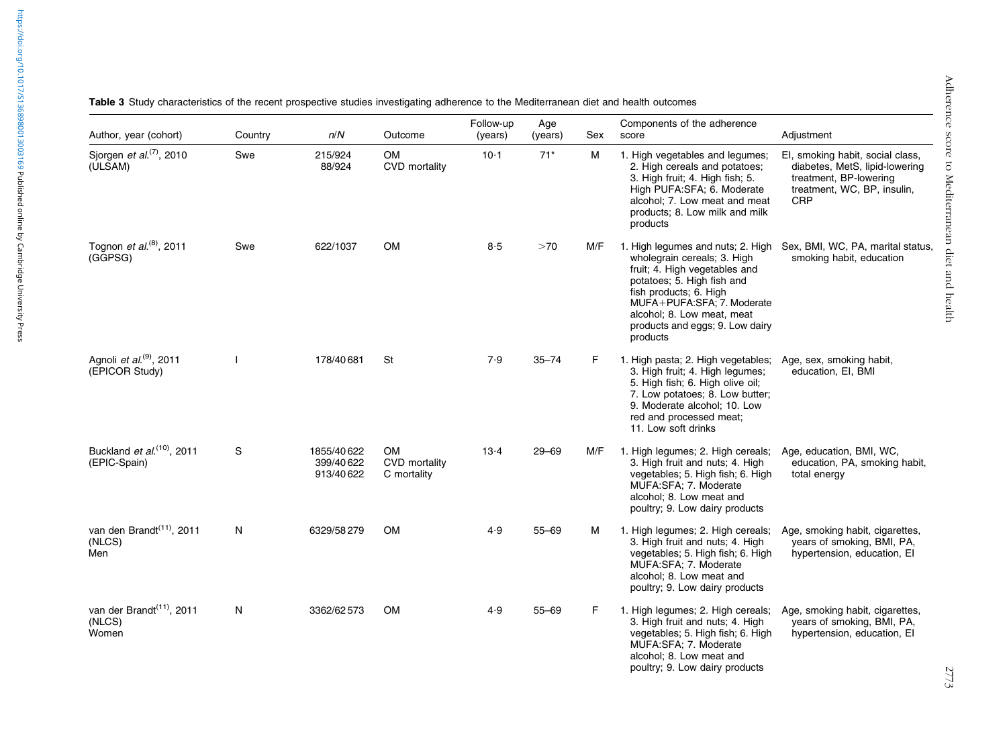| Author, year (cohort)                                    | Country | n/N                                  | Outcome                                          | Follow-up<br>(years) | Age<br>(years) | Sex | Components of the adherence<br>score                                                                                                                                                                                                                                 | Adjustment                                                                                                                         |
|----------------------------------------------------------|---------|--------------------------------------|--------------------------------------------------|----------------------|----------------|-----|----------------------------------------------------------------------------------------------------------------------------------------------------------------------------------------------------------------------------------------------------------------------|------------------------------------------------------------------------------------------------------------------------------------|
| Sjorgen et al. <sup>(7)</sup> , 2010<br>(ULSAM)          | Swe     | 215/924<br>88/924                    | <b>OM</b><br><b>CVD</b> mortality                | $10-1$               | $71*$          | м   | 1. High vegetables and legumes;<br>2. High cereals and potatoes;<br>3. High fruit; 4. High fish; 5.<br>High PUFA:SFA; 6. Moderate<br>alcohol; 7. Low meat and meat<br>products; 8. Low milk and milk<br>products                                                     | EI, smoking habit, social class,<br>diabetes, MetS, lipid-lowering<br>treatment, BP-lowering<br>treatment, WC, BP, insulin,<br>CRP |
| Tognon et al. <sup>(8)</sup> , 2011<br>(GGPSG)           | Swe     | 622/1037                             | <b>OM</b>                                        | 8.5                  | >70            | M/F | 1. High legumes and nuts; 2. High<br>wholegrain cereals; 3. High<br>fruit; 4. High vegetables and<br>potatoes; 5. High fish and<br>fish products; 6. High<br>MUFA+PUFA:SFA; 7. Moderate<br>alcohol; 8. Low meat, meat<br>products and eggs; 9. Low dairy<br>products | Sex, BMI, WC, PA, marital status,<br>smoking habit, education                                                                      |
| Agnoli et al. <sup>(9)</sup> , 2011<br>(EPICOR Study)    |         | 178/40681                            | St                                               | 7.9                  | $35 - 74$      | F   | 1. High pasta; 2. High vegetables;<br>3. High fruit; 4. High legumes;<br>5. High fish; 6. High olive oil;<br>7. Low potatoes; 8. Low butter;<br>9. Moderate alcohol; 10. Low<br>red and processed meat;<br>11. Low soft drinks                                       | Age, sex, smoking habit,<br>education, EI, BMI                                                                                     |
| Buckland et al. <sup>(10)</sup> , 2011<br>(EPIC-Spain)   | S       | 1855/40622<br>399/40622<br>913/40622 | <b>OM</b><br><b>CVD</b> mortality<br>C mortality | 13.4                 | $29 - 69$      | M/F | 1. High legumes; 2. High cereals;<br>3. High fruit and nuts; 4. High<br>vegetables; 5. High fish; 6. High<br>MUFA:SFA; 7. Moderate<br>alcohol; 8. Low meat and<br>poultry; 9. Low dairy products                                                                     | Age, education, BMI, WC,<br>education, PA, smoking habit,<br>total energy                                                          |
| van den Brandt <sup>(11)</sup> , 2011<br>(NLCS)<br>Men   | N       | 6329/58279                           | <b>OM</b>                                        | 4.9                  | $55 - 69$      | м   | 1. High legumes; 2. High cereals;<br>3. High fruit and nuts; 4. High<br>vegetables; 5. High fish; 6. High<br>MUFA:SFA; 7. Moderate<br>alcohol; 8. Low meat and<br>poultry; 9. Low dairy products                                                                     | Age, smoking habit, cigarettes,<br>years of smoking, BMI, PA,<br>hypertension, education, El                                       |
| van der Brandt <sup>(11)</sup> , 2011<br>(NLCS)<br>Women | N       | 3362/62573                           | <b>OM</b>                                        | 4.9                  | $55 - 69$      | F   | 1. High legumes; 2. High cereals;<br>3. High fruit and nuts; 4. High<br>vegetables; 5. High fish; 6. High<br>MUFA:SFA; 7. Moderate<br>alcohol: 8. Low meat and                                                                                                       | Age, smoking habit, cigarettes,<br>years of smoking, BMI, PA,<br>hypertension, education, El                                       |

<span id="page-4-0"></span>Table 3 Study characteristics of the recent prospective studies investigating adherence to the Mediterranean diet and health outcomes

Adherence score to Mediterranean diet and health

poultry; 9. Low dairy products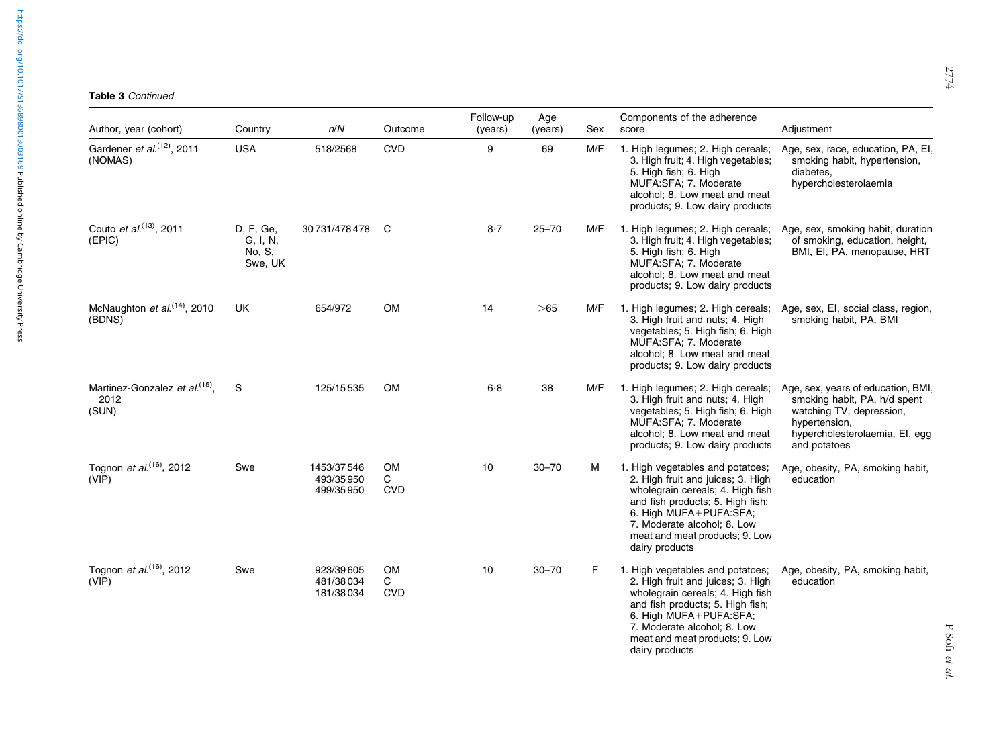https://doi.org/10.1017/S1368980013003169 Published online by Cambridge University Press <https://doi.org/10.1017/S1368980013003169>Published online by Cambridge University Press

#### Author, year (cohort) Country  $n/N$  Outcome Follow-up (years) Age (years) Sex Components of the adherence score Adjustment Gardener *et al.*<sup>([12](#page-12-0))</sup>, 2011 (NOMAS) USA 518/2568 CVD 9 69 M/F 1. High legumes; 2. High cereals; 3. High fruit; 4. High vegetables; 5. High fish; 6. High MUFA:SFA; 7. Moderate alcohol; 8. Low meat and meat products; 9. Low dairy products Age, sex, race, education, PA, EI, smoking habit, hypertension, diabetes, hypercholesterolaemia Couto *et al*.<sup>[\(13](#page-12-0))</sup>, 2011 (EPIC) D, F, Ge,  $G, I, N$  $No, S$ Swe, UK 30 731/478 478 C 8?7 25–70 M/F 1. High legumes; 2. High cereals; 3. High fruit; 4. High vegetables; 5. High fish; 6. High MUFA:SFA; 7. Moderate alcohol; 8. Low meat and meat products; 9. Low dairy products Age, sex, smoking habit, duration of smoking, education, height, BMI, EI, PA, menopause, HRT McNaughton et al.<sup>[\(14](#page-12-0))</sup>, 2010 (BDNS) UK 654/972 OM 14 $>65$  M/F 1. High legumes; 2. High cereals; 3. High fruit and nuts; 4. High vegetables; 5. High fish; 6. High MUFA:SFA; 7. Moderate alcohol; 8. Low meat and meat products; 9. Low dairy products Age, sex, EI, social class, region, smoking habit, PA, BMI Martinez-Gonzalez *et al*.<sup>([15](#page-12-0))</sup>, 2012(SUN) S 125/15 535 OM 6?8 38 M/F 1. High legumes; 2. High cereals; 3. High fruit and nuts; 4. High vegetables; 5. High fish; 6. High MUFA:SFA; 7. Moderate alcohol; 8. Low meat and meat products; 9. Low dairy products Age, sex, years of education, BMI, smoking habit, PA, h/d spent watching TV, depression, hypertension, hypercholesterolaemia, EI, egg and potatoes Tognon et al.<sup>[\(16](#page-12-0))</sup>, 2012 (VIP) Swe 1453/37546 OM 10 30–70 M 1. High vegetables and potatoes;<br>193/35950 C 2 High fruit and julices: 3 High 2. High fruit and juices; 3. High education wholegrain cereals: 4. High fish and fish products; 5. High fish; 6. High MUFA <sup>1</sup>PUFA:SFA; 7. Moderate alcohol; 8. Low meat and meat products; 9. Low dairy products Age, obesity, PA, smoking habit,<br>education 493/35 950 499/35 950 CVDTognon et  $al^{(16)}$  $al^{(16)}$  $al^{(16)}$ , 2012 (VIP) Swe 923/39 605 OM 10 30–70 F 1. High vegetables and potatoes; 2. High fruit and juices; 3. High education wholegrain cereals: 4. High fish and fish products: 5. High fish: 6. High MUFA <sup>1</sup>PUFA:SFA; 7. Moderate alcohol; 8. Low meat and meat products; 9. Low Age, obesity, PA, smoking habit, 481/38 034 C181/38 034 CVD

dairy products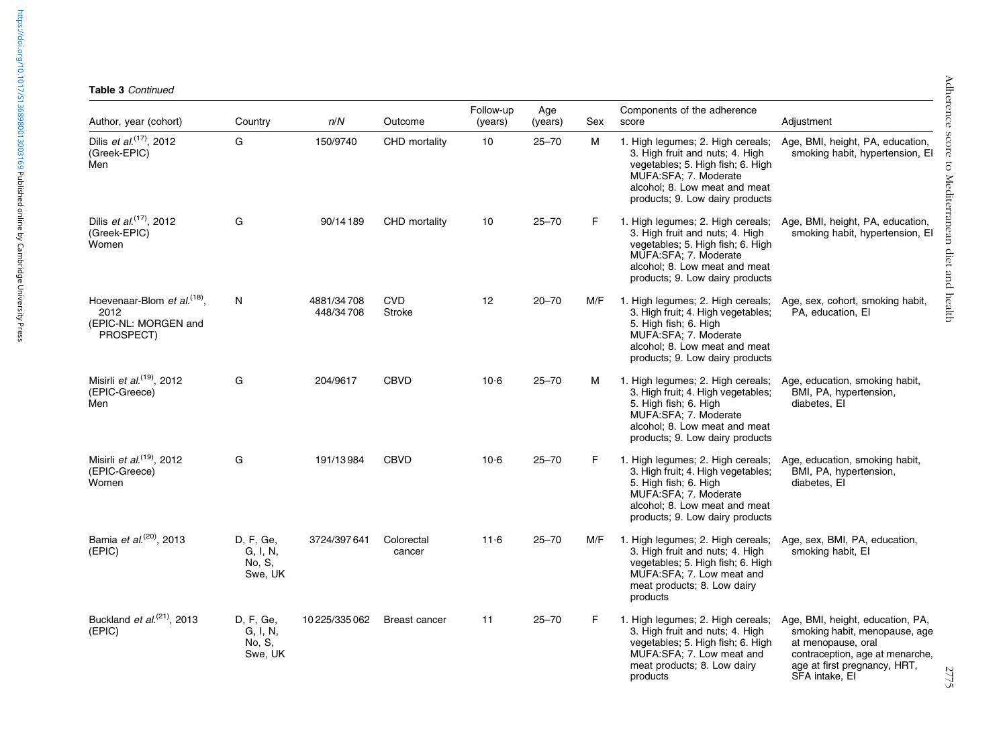https://doi.org/10.1017/S1368980013003169 Published online by Cambridge University Press <https://doi.org/10.1017/S1368980013003169>Published online by Cambridge University Press

| Author, year (cohort)                                                                | Country                                    | n/N                     | Outcome                     | Follow-up<br>(years) | Age<br>(years) | Sex | Components of the adherence<br>score                                                                                                                                                                   | Adjustment                                                                                                                                                                   |
|--------------------------------------------------------------------------------------|--------------------------------------------|-------------------------|-----------------------------|----------------------|----------------|-----|--------------------------------------------------------------------------------------------------------------------------------------------------------------------------------------------------------|------------------------------------------------------------------------------------------------------------------------------------------------------------------------------|
| Dilis <i>et al.</i> <sup>(17)</sup> , 2012<br>(Greek-EPIC)<br>Men                    | G                                          | 150/9740                | CHD mortality               | 10                   | $25 - 70$      | м   | 1. High legumes; 2. High cereals;<br>3. High fruit and nuts; 4. High<br>vegetables; 5. High fish; 6. High<br>MUFA:SFA; 7. Moderate<br>alcohol; 8. Low meat and meat<br>products; 9. Low dairy products | Age, BMI, height, PA, education,<br>smoking habit, hypertension, El                                                                                                          |
| Dilis et al. <sup>(17)</sup> , 2012<br>(Greek-EPIC)<br>Women                         | G                                          | 90/14 189               | CHD mortality               | 10                   | $25 - 70$      | F   | 1. High legumes; 2. High cereals;<br>3. High fruit and nuts; 4. High<br>vegetables; 5. High fish; 6. High<br>MUFA:SFA; 7. Moderate<br>alcohol; 8. Low meat and meat<br>products; 9. Low dairy products | Age, BMI, height, PA, education,<br>smoking habit, hypertension, El                                                                                                          |
| Hoevenaar-Blom et al. <sup>(18)</sup> ,<br>2012<br>(EPIC-NL: MORGEN and<br>PROSPECT) | N                                          | 4881/34708<br>448/34708 | <b>CVD</b><br><b>Stroke</b> | 12                   | $20 - 70$      | M/F | 1. High legumes; 2. High cereals;<br>3. High fruit; 4. High vegetables;<br>5. High fish; 6. High<br>MUFA:SFA; 7. Moderate<br>alcohol; 8. Low meat and meat<br>products; 9. Low dairy products          | Age, sex, cohort, smoking habit,<br>PA, education, El                                                                                                                        |
| Misirli et al. <sup>(19)</sup> , 2012<br>(EPIC-Greece)<br>Men                        | G                                          | 204/9617                | <b>CBVD</b>                 | $10-6$               | $25 - 70$      | М   | 1. High legumes; 2. High cereals;<br>3. High fruit; 4. High vegetables;<br>5. High fish; 6. High<br>MUFA:SFA; 7. Moderate<br>alcohol; 8. Low meat and meat<br>products; 9. Low dairy products          | Age, education, smoking habit,<br>BMI, PA, hypertension,<br>diabetes, El                                                                                                     |
| Misirli et al. <sup>(19)</sup> , 2012<br>(EPIC-Greece)<br>Women                      | G                                          | 191/13984               | <b>CBVD</b>                 | $10-6$               | $25 - 70$      | F   | 1. High legumes; 2. High cereals;<br>3. High fruit; 4. High vegetables;<br>5. High fish; 6. High<br>MUFA:SFA; 7. Moderate<br>alcohol; 8. Low meat and meat<br>products; 9. Low dairy products          | Age, education, smoking habit,<br>BMI, PA, hypertension,<br>diabetes, El                                                                                                     |
| Bamia et al. <sup>(20)</sup> , 2013<br>(EPIC)                                        | D, F, Ge,<br>G. I. N.<br>No, S,<br>Swe, UK | 3724/397641             | Colorectal<br>cancer        | 11.6                 | $25 - 70$      | M/F | 1. High legumes; 2. High cereals;<br>3. High fruit and nuts; 4. High<br>vegetables; 5. High fish; 6. High<br>MUFA:SFA; 7. Low meat and<br>meat products; 8. Low dairy<br>products                      | Age, sex, BMI, PA, education,<br>smoking habit, El                                                                                                                           |
| Buckland et al. <sup>(21)</sup> , 2013<br>(EPIC)                                     | D, F, Ge,<br>G, I, N,<br>No, S,<br>Swe, UK | 10225/335062            | <b>Breast cancer</b>        | 11                   | $25 - 70$      | F.  | 1. High legumes; 2. High cereals;<br>3. High fruit and nuts; 4. High<br>vegetables; 5. High fish; 6. High<br>MUFA:SFA; 7. Low meat and<br>meat products; 8. Low dairy<br>products                      | Age, BMI, height, education, PA,<br>smoking habit, menopause, age<br>at menopause, oral<br>contraception, age at menarche,<br>age at first pregnancy, HRT,<br>SFA intake, El |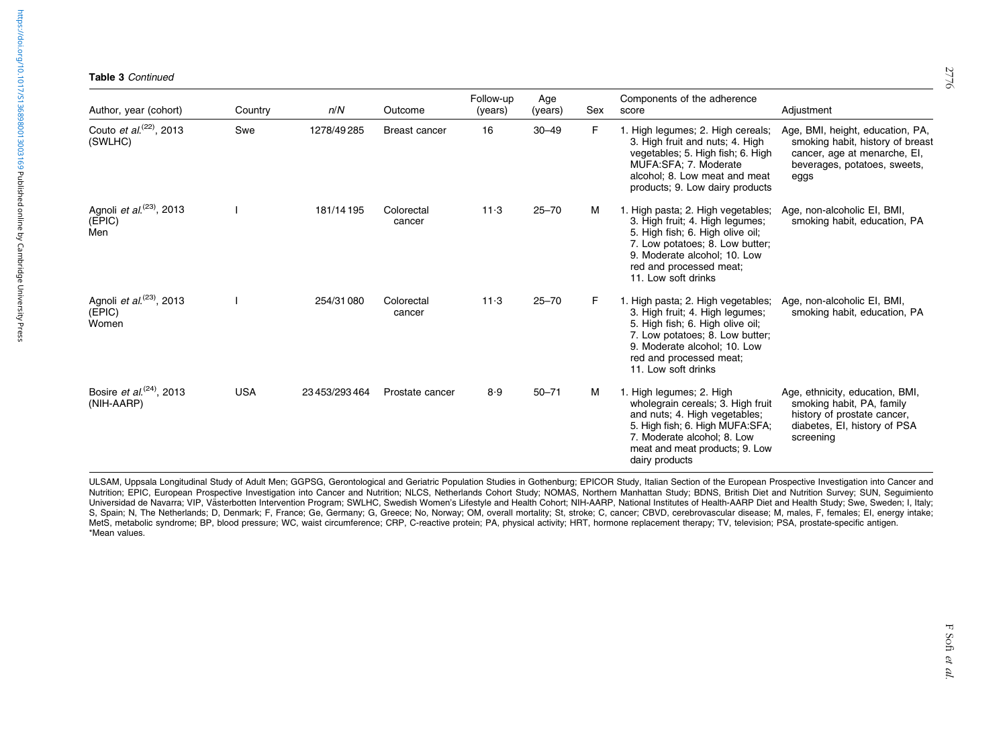|  | <b>Table 3 Continued</b> |
|--|--------------------------|
|  |                          |

| Author, year (cohort)                                     | Country    | n/N          | Outcome              | Follow-up<br>(years) | Age<br>(years) | Sex | Components of the adherence<br>score                                                                                                                                                                                           | Adjustment                                                                                                                                   |
|-----------------------------------------------------------|------------|--------------|----------------------|----------------------|----------------|-----|--------------------------------------------------------------------------------------------------------------------------------------------------------------------------------------------------------------------------------|----------------------------------------------------------------------------------------------------------------------------------------------|
| Couto <i>et al.</i> <sup>(22)</sup> , 2013<br>(SWLHC)     | Swe        | 1278/49285   | <b>Breast cancer</b> | 16                   | $30 - 49$      | F.  | 1. High legumes; 2. High cereals;<br>3. High fruit and nuts; 4. High<br>vegetables; 5. High fish; 6. High<br>MUFA:SFA; 7. Moderate<br>alcohol; 8. Low meat and meat<br>products; 9. Low dairy products                         | Age, BMI, height, education, PA,<br>smoking habit, history of breast<br>cancer, age at menarche, EI,<br>beverages, potatoes, sweets,<br>eggs |
| Agnoli et al. <sup>(23)</sup> , 2013<br>(EPIC)<br>Men     |            | 181/14 195   | Colorectal<br>cancer | 11.3                 | $25 - 70$      | м   | 1. High pasta; 2. High vegetables;<br>3. High fruit; 4. High legumes;<br>5. High fish; 6. High olive oil;<br>7. Low potatoes; 8. Low butter;<br>9. Moderate alcohol; 10. Low<br>red and processed meat;<br>11. Low soft drinks | Age, non-alcoholic EI, BMI,<br>smoking habit, education, PA                                                                                  |
| Agnoli et al. <sup>(23)</sup> , 2013<br>(EPIC)<br>Women   |            | 254/31080    | Colorectal<br>cancer | 11.3                 | $25 - 70$      | F   | 1. High pasta; 2. High vegetables;<br>3. High fruit; 4. High legumes;<br>5. High fish; 6. High olive oil;<br>7. Low potatoes; 8. Low butter;<br>9. Moderate alcohol: 10. Low<br>red and processed meat;<br>11. Low soft drinks | Age, non-alcoholic EI, BMI,<br>smoking habit, education, PA                                                                                  |
| Bosire <i>et al.</i> <sup>(24)</sup> , 2013<br>(NIH-AARP) | <b>USA</b> | 23453/293464 | Prostate cancer      | 8.9                  | $50 - 71$      | м   | 1. High legumes; 2. High<br>wholegrain cereals; 3. High fruit<br>and nuts; 4. High vegetables;<br>5. High fish; 6. High MUFA:SFA;<br>7. Moderate alcohol; 8. Low<br>meat and meat products; 9. Low<br>dairy products           | Age, ethnicity, education, BMI,<br>smoking habit, PA, family<br>history of prostate cancer,<br>diabetes, EI, history of PSA<br>screening     |

ULSAM, Uppsala Longitudinal Study of Adult Men; GGPSG, Gerontological and Geriatric Population Studies in Gothenburg; EPICOR Study, Italian Section of the European Prospective Investigation into Cancer and Nutrition; EPIC, European Prospective Investigation into Cancer and Nutrition; NLCS, Netherlands Cohort Study; NOMAS, Northern Manhattan Study; BDNS, British Diet and Nutrition Survey; SUN, Seguimiento Universidad de Navarra; VIP, Västerbotten Intervention Program; SWLHC, Swedish Women's Lifestyle and Health Cohort; NIH-AARP, National Institutes of Health-AARP Diet and Health Study; Swe, Sweden; I, Italy; S, Spain; N, The Netherlands; D, Denmark; F, France; Ge, Germany; G, Greece; No, Norway; OM, overall mortality; St, stroke; C, cancer; CBVD, cerebrovascular disease; M, males, F, females; EI, energy intake; MetS, metabolic syndrome; BP, blood pressure; WC, waist circumference; CRP, C-reactive protein; PA, physical activity; HRT, hormone replacement therapy; TV, television; PSA, prostate-specific antigen. \*Mean values.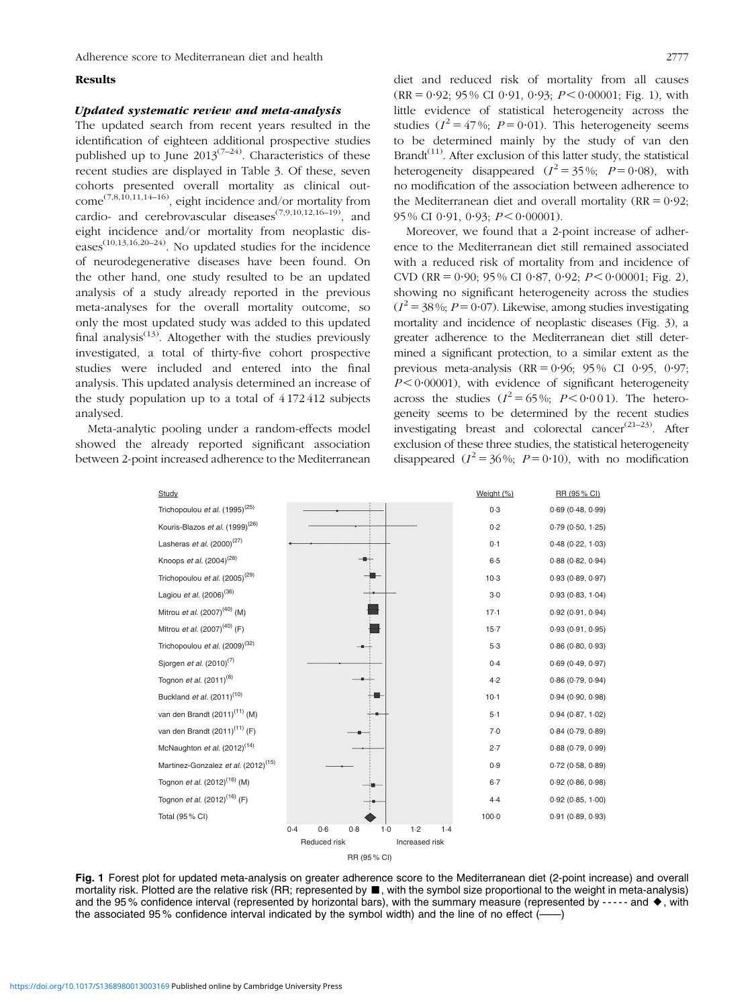Adherence score to Mediterranean diet and health 2777

### Results

## Updated systematic review and meta-analysis

The updated search from recent years resulted in the identification of eighteen additional prospective studies published up to June  $2013^{(7-24)}$  $2013^{(7-24)}$  $2013^{(7-24)}$  $2013^{(7-24)}$  $2013^{(7-24)}$ . Characteristics of these recent studies are displayed in [Table 3](#page-4-0). Of these, seven cohorts presented overall mortality as clinical outcome<sup> $(7,8,10,11,14–16)$  $(7,8,10,11,14–16)$  $(7,8,10,11,14–16)$  $(7,8,10,11,14–16)$  $(7,8,10,11,14–16)$ </sup>, eight incidence and/or mortality from cardio- and cerebrovascular diseases<sup> $(7,9,10,12,16-19)$  $(7,9,10,12,16-19)$  $(7,9,10,12,16-19)$  $(7,9,10,12,16-19)$  $(7,9,10,12,16-19)$ </sup>, and eight incidence and/or mortality from neoplastic dis $eases^{(10,13,16,20-24)}$ . No updated studies for the incidence of neurodegenerative diseases have been found. On the other hand, one study resulted to be an updated analysis of a study already reported in the previous meta-analyses for the overall mortality outcome, so only the most updated study was added to this updated final analysis<sup> $(13)$  $(13)$ </sup>. Altogether with the studies previously investigated, a total of thirty-five cohort prospective studies were included and entered into the final analysis. This updated analysis determined an increase of the study population up to a total of 4 172 412 subjects analysed.

Meta-analytic pooling under a random-effects model showed the already reported significant association between 2-point increased adherence to the Mediterranean diet and reduced risk of mortality from all causes  $(RR = 0.92; 95\% \text{ CI } 0.91, 0.93; P < 0.00001; \text{ Fig. 1}),$  with little evidence of statistical heterogeneity across the studies ( $I^2 = 47\%$ ;  $P = 0.01$ ). This heterogeneity seems to be determined mainly by the study of van den Brandt<sup> $(11)$  $(11)$ </sup>. After exclusion of this latter study, the statistical heterogeneity disappeared  $(I^2 = 35\%; P = 0.08)$ , with no modification of the association between adherence to the Mediterranean diet and overall mortality ( $RR = 0.92$ ; 95 % CI 0.91, 0.93;  $P \le 0.00001$ ).

Moreover, we found that a 2-point increase of adherence to the Mediterranean diet still remained associated with a reduced risk of mortality from and incidence of CVD (RR = 0.90; 95 % CI 0.87, 0.92;  $P < 0.00001$ ; [Fig. 2\)](#page-9-0), showing no significant heterogeneity across the studies  $(I^2 = 38\%, P = 0.07)$ . Likewise, among studies investigating mortality and incidence of neoplastic diseases [\(Fig. 3](#page-10-0)), a greater adherence to the Mediterranean diet still determined a significant protection, to a similar extent as the previous meta-analysis  $(RR = 0.96; 95\% \text{ CI} 0.95, 0.97;$  $P \leq 0.00001$ , with evidence of significant heterogeneity across the studies  $(I^2 = 65\%; P < 0.001)$ . The heterogeneity seems to be determined by the recent studies investigating breast and colorectal cancer<sup> $(21-23)$  $(21-23)$  $(21-23)$  $(21-23)$ </sup>. After exclusion of these three studies, the statistical heterogeneity disappeared  $(I^2 = 36\%; P = 0.10)$ , with no modification



Fig. 1 Forest plot for updated meta-analysis on greater adherence score to the Mediterranean diet (2-point increase) and overall mortality risk. Plotted are the relative risk (RR; represented by  $\blacksquare$ , with the symbol size proportional to the weight in meta-analysis) and the 95% confidence interval (represented by horizontal bars), with the summary measure (represented by  $---$  and  $\blacklozenge$ , with the associated 95 % confidence interval indicated by the symbol width) and the line of no effect (——)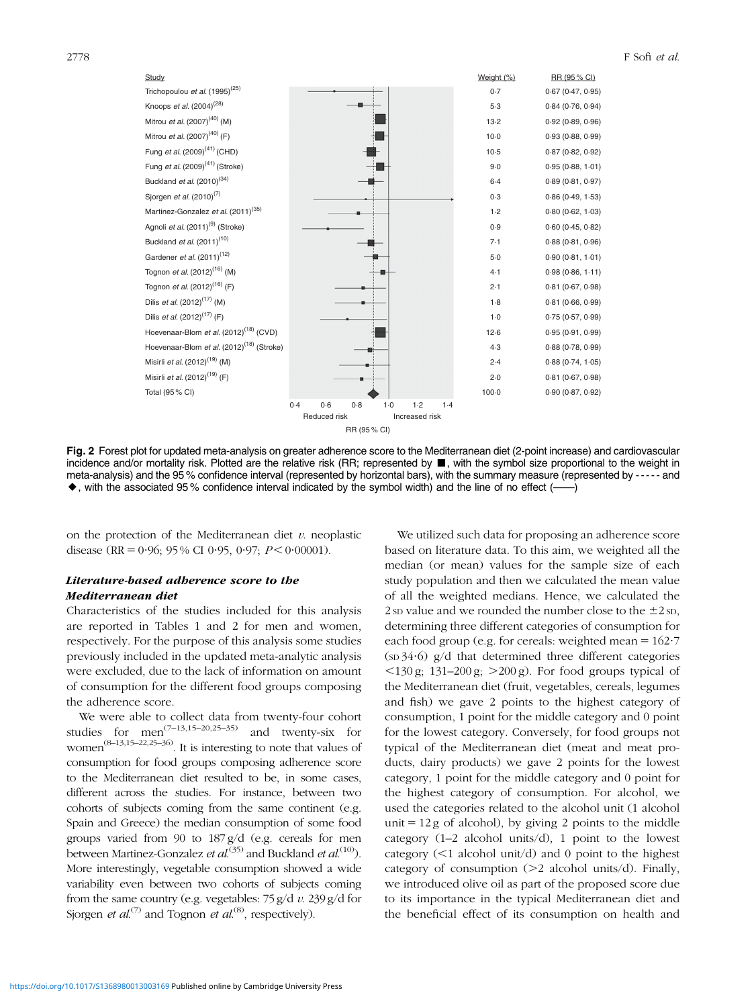<span id="page-9-0"></span>

RR (95 % CI)

Fig. 2 Forest plot for updated meta-analysis on greater adherence score to the Mediterranean diet (2-point increase) and cardiovascular incidence and/or mortality risk. Plotted are the relative risk (RR; represented by  $\blacksquare$ , with the symbol size proportional to the weight in meta-analysis) and the 95 % confidence interval (represented by horizontal bars), with the summary measure (represented by - - - - - and  $\bullet$ , with the associated 95% confidence interval indicated by the symbol width) and the line of no effect (-

on the protection of the Mediterranean diet  $v$ . neoplastic disease (RR =  $0.96$ ; 95 % CI 0.95, 0.97;  $P < 0.00001$ ).

# Literature-based adherence score to the Mediterranean diet

Characteristics of the studies included for this analysis are reported in [Tables 1](#page-2-0) and [2](#page-3-0) for men and women, respectively. For the purpose of this analysis some studies previously included in the updated meta-analytic analysis were excluded, due to the lack of information on amount of consumption for the different food groups composing the adherence score.

We were able to collect data from twenty-four cohort studies for men<sup> $(7-13,15-20,25-35)$  $(7-13,15-20,25-35)$  $(7-13,15-20,25-35)$  $(7-13,15-20,25-35)$  $(7-13,15-20,25-35)$ </sup> and twenty-six for women[\(8–13,15–22,25](#page-12-0)[–36\)](#page-13-0). It is interesting to note that values of consumption for food groups composing adherence score to the Mediterranean diet resulted to be, in some cases, different across the studies. For instance, between two cohorts of subjects coming from the same continent (e.g. Spain and Greece) the median consumption of some food groups varied from 90 to 187 g/d (e.g. cereals for men between Martinez-Gonzalez *et al*.<sup>[\(35](#page-13-0))</sup> and Buckland *et al*.<sup>[\(10\)](#page-12-0)</sup>). More interestingly, vegetable consumption showed a wide variability even between two cohorts of subjects coming from the same country (e.g. vegetables:  $75 \frac{\text{g}}{\text{d}} v$ . 239 g/d for Sjorgen *et al.*<sup>([7\)](#page-12-0)</sup> and Tognon *et al.*<sup>([8\)](#page-12-0)</sup>, respectively).

We utilized such data for proposing an adherence score based on literature data. To this aim, we weighted all the median (or mean) values for the sample size of each study population and then we calculated the mean value of all the weighted medians. Hence, we calculated the 2 sp value and we rounded the number close to the  $\pm$ 2 sp, determining three different categories of consumption for each food group (e.g. for cereals: weighted mean =  $162.7$  $(\text{SD } 34.6)$  g/d that determined three different categories  $\langle 130 \text{ g}; 131-200 \text{ g}; \rangle$  200 g). For food groups typical of the Mediterranean diet (fruit, vegetables, cereals, legumes and fish) we gave 2 points to the highest category of consumption, 1 point for the middle category and 0 point for the lowest category. Conversely, for food groups not typical of the Mediterranean diet (meat and meat products, dairy products) we gave 2 points for the lowest category, 1 point for the middle category and 0 point for the highest category of consumption. For alcohol, we used the categories related to the alcohol unit (1 alcohol unit  $= 12$  g of alcohol), by giving 2 points to the middle category  $(1-2 \text{ alcohol units}/d)$ , 1 point to the lowest category  $($  1 alcohol unit/d) and 0 point to the highest category of consumption  $(>= 2$  alcohol units/d). Finally, we introduced olive oil as part of the proposed score due to its importance in the typical Mediterranean diet and the beneficial effect of its consumption on health and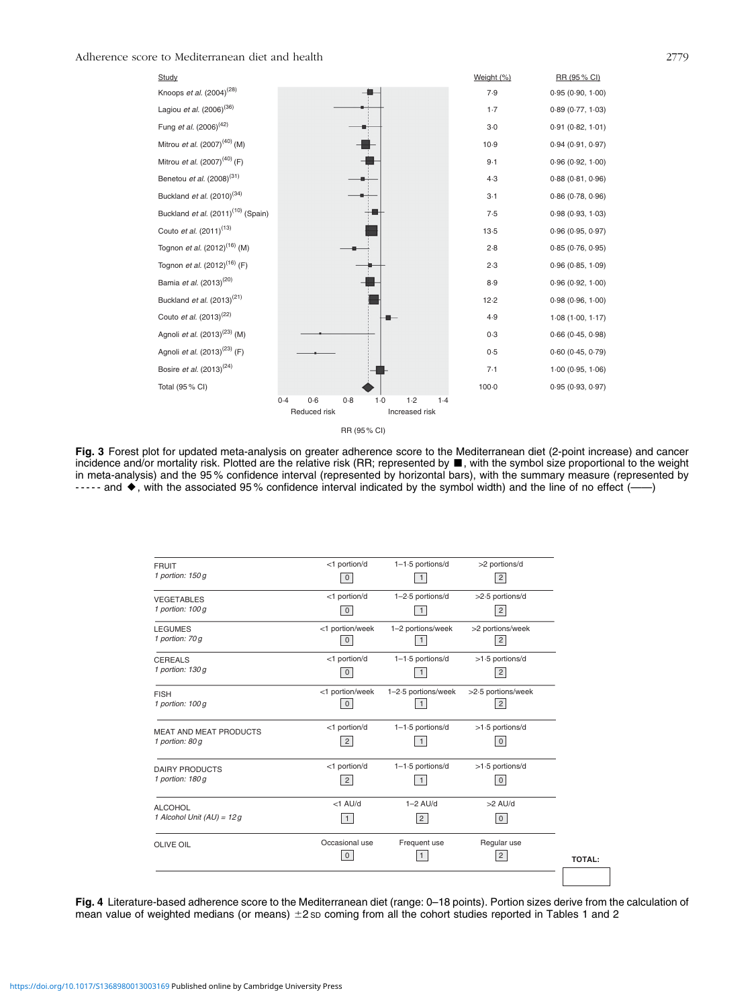<span id="page-10-0"></span>Adherence score to Mediterranean diet and health 2779





Fig. 3 Forest plot for updated meta-analysis on greater adherence score to the Mediterranean diet (2-point increase) and cancer incidence and/or mortality risk. Plotted are the relative risk (RR; represented by  $\blacksquare$ , with the symbol size proportional to the weight in meta-analysis) and the 95 % confidence interval (represented by horizontal bars), with the summary measure (represented by  $---$  and  $\bullet$ , with the associated 95% confidence interval indicated by the symbol width) and the line of no effect (--)

| <1 portion/d<br>1-1-5 portions/d<br>>2 portions/d<br><b>FRUIT</b><br>1 portion: $150g$<br>2<br>$\mathbf{0}$<br>1.<br><1 portion/d<br>1-2-5 portions/d<br>>2.5 portions/d<br><b>VEGETABLES</b><br>1 portion: $100g$<br>$\mathsf{O}\xspace$<br>$\overline{2}$<br>$\mathbf{1}$<br><1 portion/week<br>1-2 portions/week<br>>2 portions/week<br><b>LEGUMES</b><br>1 portion: $70g$<br>2<br>$\overline{0}$<br>1<br><1 portion/d<br>1-1-5 portions/d<br>>1.5 portions/d<br><b>CEREALS</b><br>1 portion: 130 g<br>$\mathsf{O}\xspace$<br>$\mathbf{1}$<br>$\overline{2}$<br><1 portion/week<br>>2.5 portions/week<br>1-2-5 portions/week<br><b>FISH</b><br>$\mathsf{O}\xspace$<br>2<br>1 portion: $100g$<br>$\mathbf{1}$<br><1 portion/d<br>1-1-5 portions/d<br>>1.5 portions/d<br><b>MEAT AND MEAT PRODUCTS</b><br>2<br>$\mathbf{1}$<br>$\mathbf{0}$<br>1 portion: 80 g<br><1 portion/d<br>1-1-5 portions/d<br>>1.5 portions/d<br><b>DAIRY PRODUCTS</b><br>1 portion: 180 g<br>2<br>$\mathbf 0$<br>$\mathbf{1}$<br>$1-2$ AU/d<br>$<$ 1 AU/d<br>$>2$ AU/d<br><b>ALCOHOL</b><br>1 Alcohol Unit (AU) = $12g$<br> 2 <br>$\mathbf{1}$<br>$\mathbf 0$<br>Occasional use<br>Frequent use<br>Regular use<br><b>OLIVE OIL</b><br>$\mathbf 0$<br>$\overline{2}$<br>$\mathbf{1}$ |  |  |               |
|---------------------------------------------------------------------------------------------------------------------------------------------------------------------------------------------------------------------------------------------------------------------------------------------------------------------------------------------------------------------------------------------------------------------------------------------------------------------------------------------------------------------------------------------------------------------------------------------------------------------------------------------------------------------------------------------------------------------------------------------------------------------------------------------------------------------------------------------------------------------------------------------------------------------------------------------------------------------------------------------------------------------------------------------------------------------------------------------------------------------------------------------------------------------------------------------------------------------------------------------------------------|--|--|---------------|
|                                                                                                                                                                                                                                                                                                                                                                                                                                                                                                                                                                                                                                                                                                                                                                                                                                                                                                                                                                                                                                                                                                                                                                                                                                                               |  |  |               |
|                                                                                                                                                                                                                                                                                                                                                                                                                                                                                                                                                                                                                                                                                                                                                                                                                                                                                                                                                                                                                                                                                                                                                                                                                                                               |  |  |               |
|                                                                                                                                                                                                                                                                                                                                                                                                                                                                                                                                                                                                                                                                                                                                                                                                                                                                                                                                                                                                                                                                                                                                                                                                                                                               |  |  |               |
|                                                                                                                                                                                                                                                                                                                                                                                                                                                                                                                                                                                                                                                                                                                                                                                                                                                                                                                                                                                                                                                                                                                                                                                                                                                               |  |  |               |
|                                                                                                                                                                                                                                                                                                                                                                                                                                                                                                                                                                                                                                                                                                                                                                                                                                                                                                                                                                                                                                                                                                                                                                                                                                                               |  |  |               |
|                                                                                                                                                                                                                                                                                                                                                                                                                                                                                                                                                                                                                                                                                                                                                                                                                                                                                                                                                                                                                                                                                                                                                                                                                                                               |  |  |               |
|                                                                                                                                                                                                                                                                                                                                                                                                                                                                                                                                                                                                                                                                                                                                                                                                                                                                                                                                                                                                                                                                                                                                                                                                                                                               |  |  |               |
|                                                                                                                                                                                                                                                                                                                                                                                                                                                                                                                                                                                                                                                                                                                                                                                                                                                                                                                                                                                                                                                                                                                                                                                                                                                               |  |  |               |
|                                                                                                                                                                                                                                                                                                                                                                                                                                                                                                                                                                                                                                                                                                                                                                                                                                                                                                                                                                                                                                                                                                                                                                                                                                                               |  |  |               |
|                                                                                                                                                                                                                                                                                                                                                                                                                                                                                                                                                                                                                                                                                                                                                                                                                                                                                                                                                                                                                                                                                                                                                                                                                                                               |  |  |               |
|                                                                                                                                                                                                                                                                                                                                                                                                                                                                                                                                                                                                                                                                                                                                                                                                                                                                                                                                                                                                                                                                                                                                                                                                                                                               |  |  |               |
|                                                                                                                                                                                                                                                                                                                                                                                                                                                                                                                                                                                                                                                                                                                                                                                                                                                                                                                                                                                                                                                                                                                                                                                                                                                               |  |  |               |
|                                                                                                                                                                                                                                                                                                                                                                                                                                                                                                                                                                                                                                                                                                                                                                                                                                                                                                                                                                                                                                                                                                                                                                                                                                                               |  |  |               |
|                                                                                                                                                                                                                                                                                                                                                                                                                                                                                                                                                                                                                                                                                                                                                                                                                                                                                                                                                                                                                                                                                                                                                                                                                                                               |  |  |               |
|                                                                                                                                                                                                                                                                                                                                                                                                                                                                                                                                                                                                                                                                                                                                                                                                                                                                                                                                                                                                                                                                                                                                                                                                                                                               |  |  |               |
|                                                                                                                                                                                                                                                                                                                                                                                                                                                                                                                                                                                                                                                                                                                                                                                                                                                                                                                                                                                                                                                                                                                                                                                                                                                               |  |  |               |
|                                                                                                                                                                                                                                                                                                                                                                                                                                                                                                                                                                                                                                                                                                                                                                                                                                                                                                                                                                                                                                                                                                                                                                                                                                                               |  |  |               |
|                                                                                                                                                                                                                                                                                                                                                                                                                                                                                                                                                                                                                                                                                                                                                                                                                                                                                                                                                                                                                                                                                                                                                                                                                                                               |  |  | <b>TOTAL:</b> |
|                                                                                                                                                                                                                                                                                                                                                                                                                                                                                                                                                                                                                                                                                                                                                                                                                                                                                                                                                                                                                                                                                                                                                                                                                                                               |  |  |               |

Fig. 4 Literature-based adherence score to the Mediterranean diet (range: 0–18 points). Portion sizes derive from the calculation of mean value of weighted medians (or means)  $\pm 2$  $\pm 2$  so coming from all the cohort studies reported in [Tables 1](#page-2-0) and 2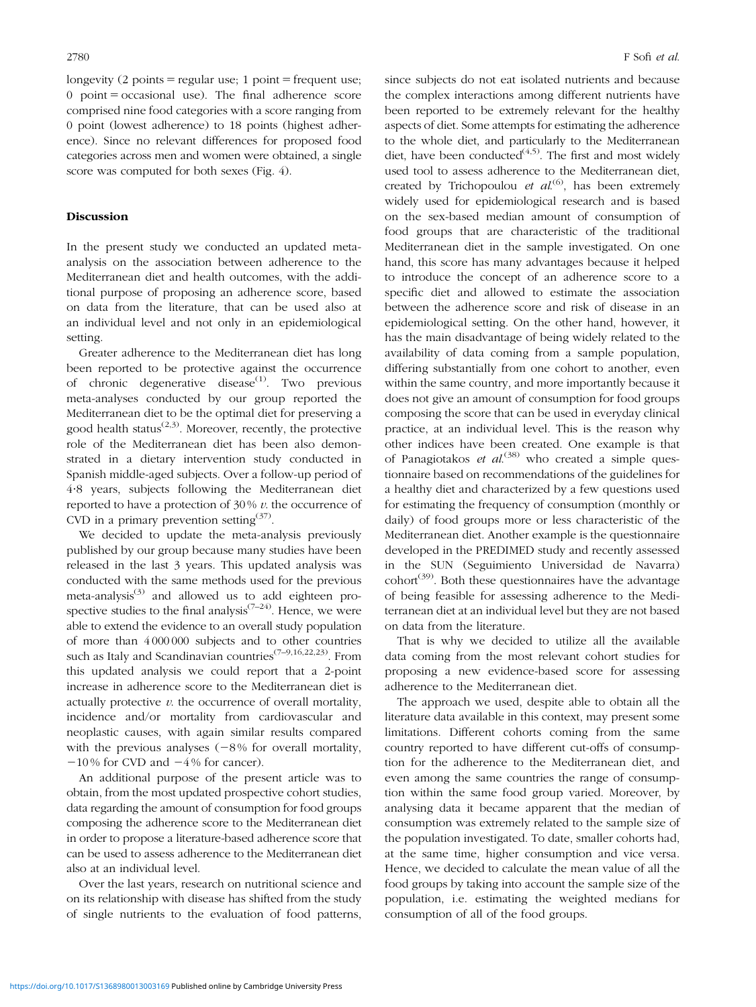longevity (2 points  $=$  regular use; 1 point  $=$  frequent use;  $0$  point = occasional use). The final adherence score comprised nine food categories with a score ranging from 0 point (lowest adherence) to 18 points (highest adherence). Since no relevant differences for proposed food categories across men and women were obtained, a single score was computed for both sexes [\(Fig. 4](#page-10-0)).

## Discussion

In the present study we conducted an updated metaanalysis on the association between adherence to the Mediterranean diet and health outcomes, with the additional purpose of proposing an adherence score, based on data from the literature, that can be used also at an individual level and not only in an epidemiological setting.

Greater adherence to the Mediterranean diet has long been reported to be protective against the occurrence of chronic degenerative disease<sup> $(1)$  $(1)$  $(1)$ </sup>. Two previous meta-analyses conducted by our group reported the Mediterranean diet to be the optimal diet for preserving a good health status $^{(2,3)}$  $^{(2,3)}$  $^{(2,3)}$ . Moreover, recently, the protective role of the Mediterranean diet has been also demonstrated in a dietary intervention study conducted in Spanish middle-aged subjects. Over a follow-up period of 4?8 years, subjects following the Mediterranean diet reported to have a protection of  $30\%$   $v$ . the occurrence of CVD in a primary prevention setting  $(37)$  $(37)$ .

We decided to update the meta-analysis previously published by our group because many studies have been released in the last 3 years. This updated analysis was conducted with the same methods used for the previous meta-analysis $^{(3)}$  $^{(3)}$  $^{(3)}$  and allowed us to add eighteen prospective studies to the final analysis<sup> $(7-24)$ </sup>. Hence, we were able to extend the evidence to an overall study population of more than 4 000 000 subjects and to other countries such as Italy and Scandinavian countries<sup> $(7-9,16,22,23)$  $(7-9,16,22,23)$ </sup>. From this updated analysis we could report that a 2-point increase in adherence score to the Mediterranean diet is actually protective  $v$ , the occurrence of overall mortality, incidence and/or mortality from cardiovascular and neoplastic causes, with again similar results compared with the previous analyses  $(-8\%$  for overall mortality,  $-10\%$  for CVD and  $-4\%$  for cancer).

An additional purpose of the present article was to obtain, from the most updated prospective cohort studies, data regarding the amount of consumption for food groups composing the adherence score to the Mediterranean diet in order to propose a literature-based adherence score that can be used to assess adherence to the Mediterranean diet also at an individual level.

Over the last years, research on nutritional science and on its relationship with disease has shifted from the study of single nutrients to the evaluation of food patterns,

since subjects do not eat isolated nutrients and because the complex interactions among different nutrients have been reported to be extremely relevant for the healthy aspects of diet. Some attempts for estimating the adherence to the whole diet, and particularly to the Mediterranean diet, have been conducted $^{(4,5)}$  $^{(4,5)}$  $^{(4,5)}$ . The first and most widely used tool to assess adherence to the Mediterranean diet, created by Trichopoulou et  $al^{(6)}$  $al^{(6)}$  $al^{(6)}$ , has been extremely widely used for epidemiological research and is based on the sex-based median amount of consumption of food groups that are characteristic of the traditional Mediterranean diet in the sample investigated. On one hand, this score has many advantages because it helped to introduce the concept of an adherence score to a specific diet and allowed to estimate the association between the adherence score and risk of disease in an epidemiological setting. On the other hand, however, it has the main disadvantage of being widely related to the availability of data coming from a sample population, differing substantially from one cohort to another, even within the same country, and more importantly because it does not give an amount of consumption for food groups composing the score that can be used in everyday clinical practice, at an individual level. This is the reason why other indices have been created. One example is that of Panagiotakos et  $al^{(38)}$  $al^{(38)}$  $al^{(38)}$  who created a simple questionnaire based on recommendations of the guidelines for a healthy diet and characterized by a few questions used for estimating the frequency of consumption (monthly or daily) of food groups more or less characteristic of the Mediterranean diet. Another example is the questionnaire developed in the PREDIMED study and recently assessed in the SUN (Seguimiento Universidad de Navarra)  $\text{cohort}^{(39)}$  $\text{cohort}^{(39)}$  $\text{cohort}^{(39)}$ . Both these questionnaires have the advantage of being feasible for assessing adherence to the Mediterranean diet at an individual level but they are not based on data from the literature.

That is why we decided to utilize all the available data coming from the most relevant cohort studies for proposing a new evidence-based score for assessing adherence to the Mediterranean diet.

The approach we used, despite able to obtain all the literature data available in this context, may present some limitations. Different cohorts coming from the same country reported to have different cut-offs of consumption for the adherence to the Mediterranean diet, and even among the same countries the range of consumption within the same food group varied. Moreover, by analysing data it became apparent that the median of consumption was extremely related to the sample size of the population investigated. To date, smaller cohorts had, at the same time, higher consumption and vice versa. Hence, we decided to calculate the mean value of all the food groups by taking into account the sample size of the population, i.e. estimating the weighted medians for consumption of all of the food groups.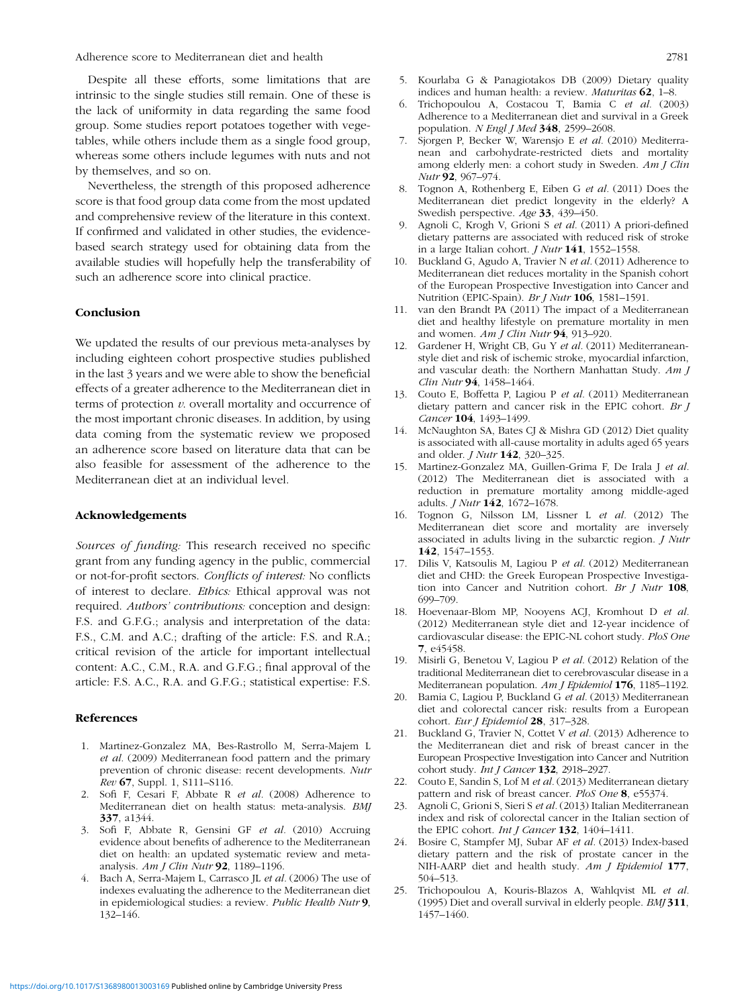<span id="page-12-0"></span>Adherence score to Mediterranean diet and health 2781 2781

Despite all these efforts, some limitations that are intrinsic to the single studies still remain. One of these is the lack of uniformity in data regarding the same food group. Some studies report potatoes together with vegetables, while others include them as a single food group, whereas some others include legumes with nuts and not by themselves, and so on.

Nevertheless, the strength of this proposed adherence score is that food group data come from the most updated and comprehensive review of the literature in this context. If confirmed and validated in other studies, the evidencebased search strategy used for obtaining data from the available studies will hopefully help the transferability of such an adherence score into clinical practice.

# Conclusion

We updated the results of our previous meta-analyses by including eighteen cohort prospective studies published in the last 3 years and we were able to show the beneficial effects of a greater adherence to the Mediterranean diet in terms of protection  $v$ . overall mortality and occurrence of the most important chronic diseases. In addition, by using data coming from the systematic review we proposed an adherence score based on literature data that can be also feasible for assessment of the adherence to the Mediterranean diet at an individual level.

### Acknowledgements

Sources of funding: This research received no specific grant from any funding agency in the public, commercial or not-for-profit sectors. Conflicts of interest: No conflicts of interest to declare. Ethics: Ethical approval was not required. Authors' contributions: conception and design: F.S. and G.F.G.; analysis and interpretation of the data: F.S., C.M. and A.C.; drafting of the article: F.S. and R.A.; critical revision of the article for important intellectual content: A.C., C.M., R.A. and G.F.G.; final approval of the article: F.S. A.C., R.A. and G.F.G.; statistical expertise: F.S.

### References

- 1. Martinez-Gonzalez MA, Bes-Rastrollo M, Serra-Majem L et al. (2009) Mediterranean food pattern and the primary prevention of chronic disease: recent developments. Nutr Rev 67, Suppl. 1, S111–S116.
- 2. Sofi F, Cesari F, Abbate R et al. (2008) Adherence to Mediterranean diet on health status: meta-analysis. BMJ 337, a1344.
- 3. Sofi F, Abbate R, Gensini GF et al. (2010) Accruing evidence about benefits of adherence to the Mediterranean diet on health: an updated systematic review and metaanalysis. Am J Clin Nutr 92, 1189–1196.
- 4. Bach A, Serra-Majem L, Carrasco JL et al. (2006) The use of indexes evaluating the adherence to the Mediterranean diet in epidemiological studies: a review. Public Health Nutr 9, 132–146.
- 5. Kourlaba G & Panagiotakos DB (2009) Dietary quality indices and human health: a review. Maturitas 62, 1–8.
- 6. Trichopoulou A, Costacou T, Bamia C et al. (2003) Adherence to a Mediterranean diet and survival in a Greek population. N Engl J Med 348, 2599-2608.
- 7. Sjorgen P, Becker W, Warensjo E et al. (2010) Mediterranean and carbohydrate-restricted diets and mortality among elderly men: a cohort study in Sweden. Am J Clin Nutr 92, 967–974.
- 8. Tognon A, Rothenberg E, Eiben G et al. (2011) Does the Mediterranean diet predict longevity in the elderly? A Swedish perspective. Age 33, 439–450.
- Agnoli C, Krogh V, Grioni S et al. (2011) A priori-defined dietary patterns are associated with reduced risk of stroke in a large Italian cohort. *J Nutr* 141, 1552-1558.
- Buckland G, Agudo A, Travier N et al. (2011) Adherence to Mediterranean diet reduces mortality in the Spanish cohort of the European Prospective Investigation into Cancer and Nutrition (EPIC-Spain). Br J Nutr 106, 1581–1591.
- 11. van den Brandt PA (2011) The impact of a Mediterranean diet and healthy lifestyle on premature mortality in men and women. Am J Clin Nutr 94, 913-920.
- 12. Gardener H, Wright CB, Gu Y et al. (2011) Mediterraneanstyle diet and risk of ischemic stroke, myocardial infarction, and vascular death: the Northern Manhattan Study. Am J Clin Nutr 94, 1458–1464.
- 13. Couto E, Boffetta P, Lagiou P et al. (2011) Mediterranean dietary pattern and cancer risk in the EPIC cohort. Br J Cancer 104, 1493-1499.
- 14. McNaughton SA, Bates CJ & Mishra GD (2012) Diet quality is associated with all-cause mortality in adults aged 65 years and older. J Nutr 142, 320–325.
- 15. Martinez-Gonzalez MA, Guillen-Grima F, De Irala J et al. (2012) The Mediterranean diet is associated with a reduction in premature mortality among middle-aged adults. J Nutr 142, 1672–1678.
- 16. Tognon G, Nilsson LM, Lissner L et al. (2012) The Mediterranean diet score and mortality are inversely associated in adults living in the subarctic region. J Nutr 142, 1547–1553.
- 17. Dilis V, Katsoulis M, Lagiou P et al. (2012) Mediterranean diet and CHD: the Greek European Prospective Investigation into Cancer and Nutrition cohort. Br J Nutr 108, 699–709.
- 18. Hoevenaar-Blom MP, Nooyens ACJ, Kromhout D et al. (2012) Mediterranean style diet and 12-year incidence of cardiovascular disease: the EPIC-NL cohort study. PloS One 7, e45458.
- 19. Misirli G, Benetou V, Lagiou P et al. (2012) Relation of the traditional Mediterranean diet to cerebrovascular disease in a Mediterranean population. Am J Epidemiol 176, 1185-1192.
- 20. Bamia C, Lagiou P, Buckland G et al. (2013) Mediterranean diet and colorectal cancer risk: results from a European cohort. Eur J Epidemiol 28, 317-328.
- 21. Buckland G, Travier N, Cottet V et al. (2013) Adherence to the Mediterranean diet and risk of breast cancer in the European Prospective Investigation into Cancer and Nutrition cohort study. Int J Cancer 132, 2918-2927.
- 22. Couto E, Sandin S, Lof M et al. (2013) Mediterranean dietary pattern and risk of breast cancer. PloS One 8, e55374.
- 23. Agnoli C, Grioni S, Sieri S et al. (2013) Italian Mediterranean index and risk of colorectal cancer in the Italian section of the EPIC cohort. Int J Cancer  $132$ ,  $1404-1411$ .
- Bosire C, Stampfer MJ, Subar AF et al. (2013) Index-based dietary pattern and the risk of prostate cancer in the NIH-AARP diet and health study. Am J Epidemiol 177, 504–513.
- 25. Trichopoulou A, Kouris-Blazos A, Wahlqvist ML et al. (1995) Diet and overall survival in elderly people. BMJ 311, 1457–1460.